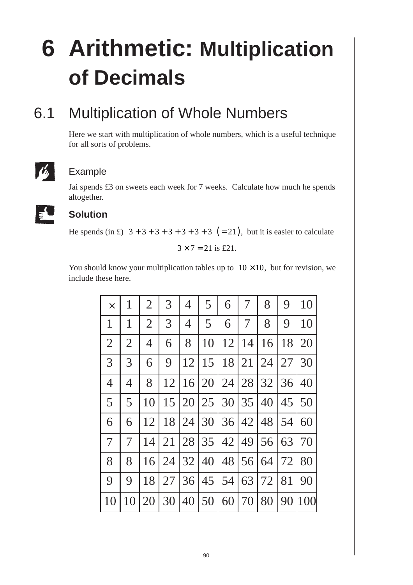# **6 Arithmetic: Multiplication of Decimals**

## 6.1 Multiplication of Whole Numbers

Here we start with multiplication of whole numbers, which is a useful technique for all sorts of problems.

# <u>li</u>

#### Example

Jai spends £3 on sweets each week for 7 weeks. Calculate how much he spends altogether.



#### **Solution**

He spends (in £)  $3+3+3+3+3+3+3 = (21)$ , but it is easier to calculate

$$
3 \times 7 = 21
$$
 is £21.

You should know your multiplication tables up to  $10 \times 10$ , but for revision, we include these here.

| $\times$       | 1              | $\overline{2}$ | 3  | 4  | 5  | 6  | 7  | 8  | 9  | 10  |
|----------------|----------------|----------------|----|----|----|----|----|----|----|-----|
| 1              | 1              | $\overline{2}$ | 3  | 4  | 5  | 6  | 7  | 8  | 9  | 10  |
| $\overline{2}$ | $\overline{2}$ | $\overline{4}$ | 6  | 8  | 10 | 12 | 14 | 16 | 18 | 20  |
| 3              | 3              | 6              | 9  | 12 | 15 | 18 | 21 | 24 | 27 | 30  |
| $\overline{4}$ | $\overline{4}$ | 8              | 12 | 16 | 20 | 24 | 28 | 32 | 36 | 40  |
| 5              | 5              | 10             | 15 | 20 | 25 | 30 | 35 | 40 | 45 | 50  |
| 6              | 6              | 12             | 18 | 24 | 30 | 36 | 42 | 48 | 54 | 60  |
| 7              | $\overline{7}$ | 14             | 21 | 28 | 35 | 42 | 49 | 56 | 63 | 70  |
| 8              | 8              | 16             | 24 | 32 | 40 | 48 | 56 | 64 | 72 | 80  |
| 9              | 9              | 18             | 27 | 36 | 45 | 54 | 63 | 72 | 81 | 90  |
| 10             | 10             | 20             | 30 | 40 | 50 | 60 | 70 | 80 | 90 | 100 |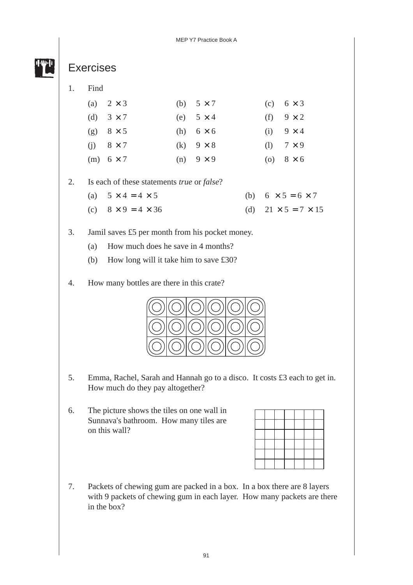

#### Exercises

1. Find

| (a) $2 \times 3$ | (b) $5 \times 7$   | (c) $6 \times 3$ |
|------------------|--------------------|------------------|
| (d) $3 \times 7$ | (e) $5 \times 4$   | (f) $9 \times 2$ |
| (g) $8 \times 5$ | (h) $6 \times 6$   | (i) $9 \times 4$ |
| $(i)$ 8 × 7      | $(k)$ 9 $\times$ 8 | (1) $7 \times 9$ |
| (m) $6 \times 7$ | $(n)$ 9 $\times$ 9 | (0) $8 \times 6$ |

2. Is each of these statements *true* or *false*?

- (a)  $5 \times 4 = 4 \times 5$  (b)  $6 \times 5 = 6 \times 7$ (c)  $8 \times 9 = 4 \times 36$  (d)  $21 \times 5 = 7 \times 15$
- 3. Jamil saves £5 per month from his pocket money.
	- (a) How much does he save in 4 months?
	- (b) How long will it take him to save £30?
- 4. How many bottles are there in this crate?



- 5. Emma, Rachel, Sarah and Hannah go to a disco. It costs £3 each to get in. How much do they pay altogether?
- 6. The picture shows the tiles on one wall in Sunnava's bathroom. How many tiles are on this wall?

7. Packets of chewing gum are packed in a box. In a box there are 8 layers with 9 packets of chewing gum in each layer. How many packets are there in the box?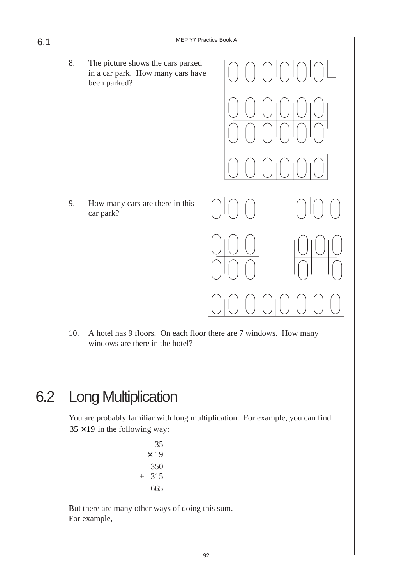8. The picture shows the cars parked in a car park. How many cars have been parked?

9. How many cars are there in this car park?



10. A hotel has 9 floors. On each floor there are 7 windows. How many windows are there in the hotel?

# 6.2 Long Multiplication

You are probably familiar with long multiplication. For example, you can find  $35 \times 19$  in the following way:

|      | 35   |
|------|------|
|      | × 19 |
|      | 350  |
| $^+$ | 315  |
|      | 665  |
|      |      |

But there are many other ways of doing this sum. For example,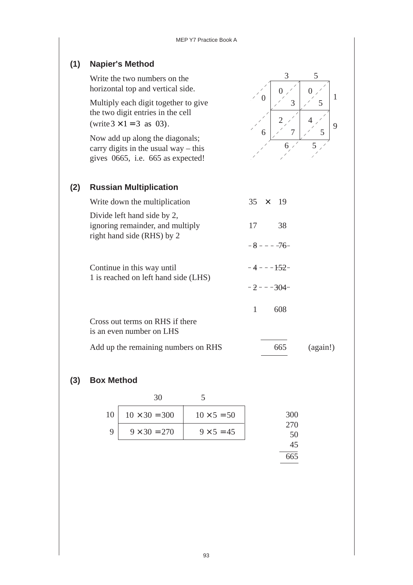| (1) | <b>Napier's Method</b>                                                                                         |                      |
|-----|----------------------------------------------------------------------------------------------------------------|----------------------|
|     | Write the two numbers on the<br>horizontal top and vertical side.                                              | 3<br>5               |
|     | Multiply each digit together to give<br>the two digit entries in the cell<br>(write $3 \times 1 = 3$ as 03).   | 1<br>3<br>5<br>9     |
|     | Now add up along the diagonals;<br>carry digits in the usual way $-$ this<br>gives 0665, i.e. 665 as expected! | 5<br>7<br>6          |
| (2) | <b>Russian Multiplication</b>                                                                                  |                      |
|     | Write down the multiplication                                                                                  | 35<br>19<br>$\times$ |
|     | Divide left hand side by 2,<br>ignoring remainder, and multiply<br>right hand side (RHS) by 2                  | 38<br>17             |
|     |                                                                                                                | $-8 - - -76$         |
|     | Continue in this way until<br>1 is reached on left hand side (LHS)                                             | $-4 - -152$          |
|     |                                                                                                                | $-2 - -304-$         |
|     |                                                                                                                | 1<br>608             |
|     | Cross out terms on RHS if there<br>is an even number on LHS                                                    |                      |
|     | Add up the remaining numbers on RHS                                                                            | 665<br>(again!)      |

#### **(3) Box Method**

| 10 | $10 \times 30 = 300$ | $10 \times 5 = 50$ | 300       |
|----|----------------------|--------------------|-----------|
|    | $9 \times 30 = 270$  | $9 \times 5 = 45$  | 270<br>50 |
|    |                      |                    |           |

665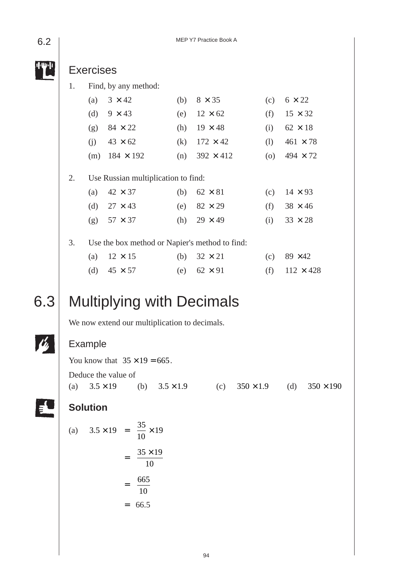MEP Y7 Practice Book A

|     |     | <b>Exercises</b> |                                                |                      |                  |     |                  |     |                  |     |                 |                  |
|-----|-----|------------------|------------------------------------------------|----------------------|------------------|-----|------------------|-----|------------------|-----|-----------------|------------------|
|     | 1.  |                  | Find, by any method:                           |                      |                  |     |                  |     |                  |     |                 |                  |
|     |     | (a)              | $3 \times 42$                                  |                      |                  | (b) | $8 \times 35$    |     |                  | (c) | $6 \times 22$   |                  |
|     |     | (d)              | $9 \times 43$                                  |                      |                  | (e) | $12 \times 62$   |     |                  | (f) | $15 \times 32$  |                  |
|     |     | (g)              | $84 \times 22$                                 |                      |                  | (h) | $19 \times 48$   |     |                  | (i) | $62 \times 18$  |                  |
|     |     | (j)              | $43 \times 62$                                 |                      |                  | (k) | $172 \times 42$  |     |                  | (1) | $461 \times 78$ |                  |
|     |     | (m)              | $184 \times 192$                               |                      |                  | (n) | $392 \times 412$ |     |                  | (0) | $494 \times 72$ |                  |
|     | 2.  |                  | Use Russian multiplication to find:            |                      |                  |     |                  |     |                  |     |                 |                  |
|     |     | (a)              | $42 \times 37$                                 |                      |                  | (b) | $62 \times 81$   |     |                  | (c) | $14 \times 93$  |                  |
|     |     | (d)              | $27 \times 43$                                 |                      |                  | (e) | $82 \times 29$   |     |                  | (f) | $38 \times 46$  |                  |
|     |     | (g)              | $57 \times 37$                                 |                      |                  | (h) | $29 \times 49$   |     |                  | (i) | $33 \times 28$  |                  |
|     | 3.  |                  | Use the box method or Napier's method to find: |                      |                  |     |                  |     |                  |     |                 |                  |
|     |     | (a)              | $12 \times 15$                                 |                      |                  | (b) | $32 \times 21$   |     |                  | (c) | 89 × 42         |                  |
|     |     | (d)              | $45 \times 57$                                 |                      |                  | (e) | $62 \times 91$   |     |                  | (f) |                 | $112 \times 428$ |
|     |     |                  |                                                |                      |                  |     |                  |     |                  |     |                 |                  |
| 6.3 |     |                  | <b>Multiplying with Decimals</b>               |                      |                  |     |                  |     |                  |     |                 |                  |
|     |     |                  | We now extend our multiplication to decimals.  |                      |                  |     |                  |     |                  |     |                 |                  |
|     |     | <b>Example</b>   |                                                |                      |                  |     |                  |     |                  |     |                 |                  |
|     |     |                  | You know that $35 \times 19 = 665$ .           |                      |                  |     |                  |     |                  |     |                 |                  |
|     |     |                  | Deduce the value of                            |                      |                  |     |                  |     |                  |     |                 |                  |
|     | (a) |                  | $3.5 \times 19$                                | (b)                  | $3.5 \times 1.9$ |     |                  | (c) | $350 \times 1.9$ |     | (d)             | $350 \times 190$ |
|     |     | <b>Solution</b>  |                                                |                      |                  |     |                  |     |                  |     |                 |                  |
|     | (a) |                  | $3.5 \times 19 = \frac{35}{10} \times 19$      |                      |                  |     |                  |     |                  |     |                 |                  |
|     |     |                  |                                                | $35 \times 19$<br>10 |                  |     |                  |     |                  |     |                 |                  |
|     |     |                  | $=$                                            | $\frac{665}{10}$     |                  |     |                  |     |                  |     |                 |                  |
|     |     |                  | $\displaystyle \qquad \qquad =$                | 66.5                 |                  |     |                  |     |                  |     |                 |                  |
|     |     |                  |                                                |                      |                  |     |                  |     |                  |     |                 |                  |
|     |     |                  |                                                |                      |                  |     |                  |     |                  |     |                 |                  |

6.2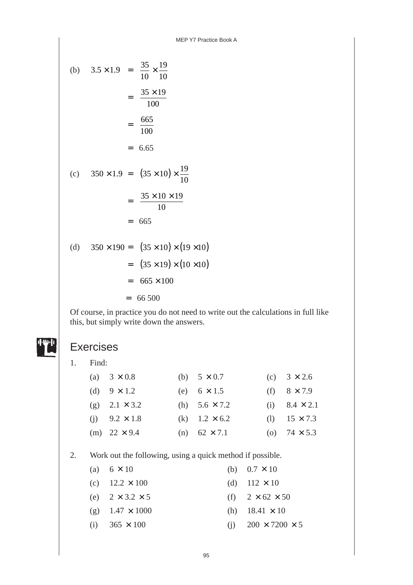(b) 
$$
3.5 \times 1.9 = \frac{35}{10} \times \frac{19}{10}
$$
  
\t\t\t\t $= \frac{35 \times 19}{100}$   
\t\t\t\t $= \frac{665}{100}$   
\t\t\t\t $= 6.65$   
(c)  $350 \times 1.9 = (35 \times 10) \times \frac{19}{10}$   
\t\t\t\t $= \frac{35 \times 10 \times 19}{10}$   
\t\t\t\t $= 665$   
(d)  $350 \times 190 = (35 \times 10) \times (19 \times 10)$   
\t\t\t\t $= (35 \times 19) \times (10 \times 10)$   
\t\t\t\t $= 665 \times 100$ 

 $= 66,500$ 

Of course, in practice you do not need to write out the calculations in full like this, but simply write down the answers.

### Exercises

1. Find:

| (a) $3 \times 0.8$   | (b) $5 \times 0.7$   | (c) $3 \times 2.6$   |
|----------------------|----------------------|----------------------|
| (d) $9 \times 1.2$   | (e) $6 \times 1.5$   | (f) $8 \times 7.9$   |
| (g) $2.1 \times 3.2$ | (h) $5.6 \times 7.2$ | (i) $8.4 \times 2.1$ |
| (i) $9.2 \times 1.8$ | (k) $1.2 \times 6.2$ | (1) $15 \times 7.3$  |
| (m) $22 \times 9.4$  | (n) $62 \times 7.1$  | (o) $74 \times 5.3$  |

2. Work out the following, using a quick method if possible.

| (a) $6 \times 10$           | (b) $0.7 \times 10$            |
|-----------------------------|--------------------------------|
| (c) $12.2 \times 100$       | (d) $112 \times 10$            |
| (e) $2 \times 3.2 \times 5$ | (f) $2 \times 62 \times 50$    |
| (g) $1.47 \times 1000$      | (h) $18.41 \times 10$          |
| (i) $365 \times 100$        | (i) $200 \times 7200 \times 5$ |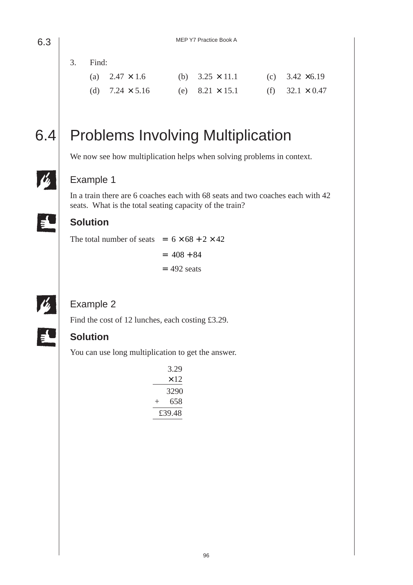3. Find:

| (a) $2.47 \times 1.6$  | (b) $3.25 \times 11.1$ | (c) $3.42 \times 6.19$ |
|------------------------|------------------------|------------------------|
| (d) $7.24 \times 5.16$ | (e) $8.21 \times 15.1$ | (f) $32.1 \times 0.47$ |

lr,

 $\blacktriangle$ 

# 6.4 Problems Involving Multiplication

We now see how multiplication helps when solving problems in context.

#### Example 1

In a train there are 6 coaches each with 68 seats and two coaches each with 42 seats. What is the total seating capacity of the train?

#### **Solution**

The total number of seats =  $6 \times 68 + 2 \times 42$ 

 $= 408 + 84$  $= 492$  seats

### Ľ,

EU

#### Example 2

Find the cost of 12 lunches, each costing £3.29.

#### **Solution**

You can use long multiplication to get the answer.

|        |  | 3.29 |  |  |  |
|--------|--|------|--|--|--|
|        |  | × 12 |  |  |  |
|        |  | 3290 |  |  |  |
| $^+$   |  | 658  |  |  |  |
| £39.48 |  |      |  |  |  |